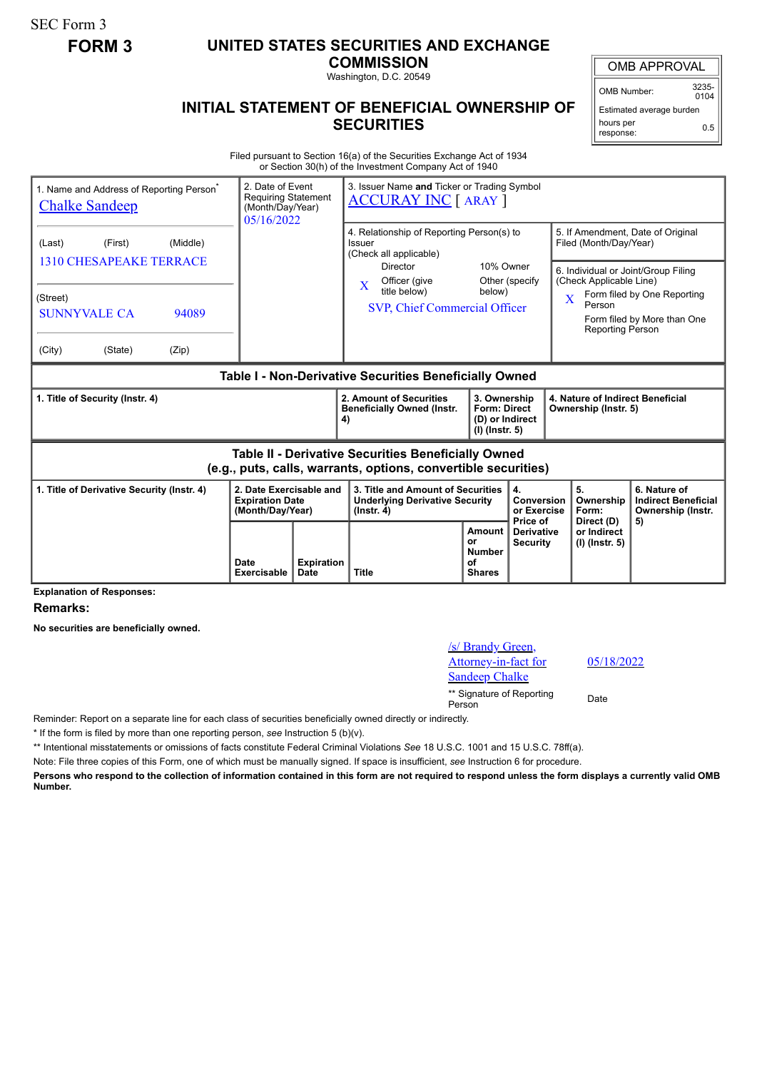SEC Form 3

## **FORM 3 UNITED STATES SECURITIES AND EXCHANGE**

**COMMISSION** Washington, D.C. 20549

OMB APPROVAL

OMB Number: 3235-  $0104$ 

0.5

Estimated average burden hours per

response:

05/18/2022

## **INITIAL STATEMENT OF BENEFICIAL OWNERSHIP OF SECURITIES**

Filed pursuant to Section 16(a) of the Securities Exchange Act of 1934 or Section 30(h) of the Investment Company Act of 1940

| 1. Name and Address of Reporting Person <sup>®</sup><br><b>Chalke Sandeep</b>                                                             | 2. Date of Event<br><b>Requiring Statement</b><br>(Month/Day/Year)<br>05/16/2022 | 3. Issuer Name and Ticker or Trading Symbol<br><b>ACCURAY INC</b> [ ARAY ]                                                                                                         |                                                                            |                                                  |                                                                                                                   |                                                                                                                                        |  |
|-------------------------------------------------------------------------------------------------------------------------------------------|----------------------------------------------------------------------------------|------------------------------------------------------------------------------------------------------------------------------------------------------------------------------------|----------------------------------------------------------------------------|--------------------------------------------------|-------------------------------------------------------------------------------------------------------------------|----------------------------------------------------------------------------------------------------------------------------------------|--|
| (Middle)<br>(Last)<br>(First)<br><b>1310 CHESAPEAKE TERRACE</b><br>(Street)<br><b>SUNNYVALE CA</b><br>94089<br>(City)<br>(State)<br>(Zip) |                                                                                  | 4. Relationship of Reporting Person(s) to<br>Issuer<br>(Check all applicable)<br>Director<br>Officer (give<br>$\mathbf{X}$<br>title below)<br><b>SVP, Chief Commercial Officer</b> | 10% Owner<br>below)                                                        | Other (specify                                   | Filed (Month/Day/Year)<br>(Check Applicable Line)<br>$\overline{\mathbf{X}}$<br>Person<br><b>Reporting Person</b> | 5. If Amendment, Date of Original<br>6. Individual or Joint/Group Filing<br>Form filed by One Reporting<br>Form filed by More than One |  |
| Table I - Non-Derivative Securities Beneficially Owned                                                                                    |                                                                                  |                                                                                                                                                                                    |                                                                            |                                                  |                                                                                                                   |                                                                                                                                        |  |
| 1. Title of Security (Instr. 4)                                                                                                           |                                                                                  | 2. Amount of Securities<br><b>Beneficially Owned (Instr.</b><br>4)                                                                                                                 | 3. Ownership<br><b>Form: Direct</b><br>(D) or Indirect<br>$(I)$ (lnstr. 5) |                                                  | 4. Nature of Indirect Beneficial<br>Ownership (Instr. 5)                                                          |                                                                                                                                        |  |
| Table II - Derivative Securities Beneficially Owned<br>(e.g., puts, calls, warrants, options, convertible securities)                     |                                                                                  |                                                                                                                                                                                    |                                                                            |                                                  |                                                                                                                   |                                                                                                                                        |  |
| 1. Title of Derivative Security (Instr. 4)                                                                                                | 2. Date Exercisable and<br><b>Expiration Date</b><br>(Month/Day/Year)            | 3. Title and Amount of Securities<br><b>Underlying Derivative Security</b><br>$($ lnstr. 4 $)$                                                                                     |                                                                            | 4.<br><b>Conversion</b><br>or Exercise           | 5.<br>Ownership<br>Form:                                                                                          | 6. Nature of<br><b>Indirect Beneficial</b><br>Ownership (Instr.                                                                        |  |
| <b>Evnianation of Responses:</b>                                                                                                          | <b>Expiration</b><br><b>Date</b><br><b>Date</b><br><b>Exercisable</b>            | <b>Title</b>                                                                                                                                                                       | Amount<br>or<br><b>Number</b><br>οf<br><b>Shares</b>                       | Price of<br><b>Derivative</b><br><b>Security</b> | Direct (D)<br>or Indirect<br>(I) (Instr. 5)                                                                       | 5)                                                                                                                                     |  |

**Explanation of Responses:**

**Remarks:**

**No securities are beneficially owned.**

| <i>s</i> Brandy Green,<br>Attorney-in-fact for<br><b>Sandeep Chalke</b> | 05/1 |
|-------------------------------------------------------------------------|------|
| ** Signature of Reporting<br>Person                                     | Date |

Reminder: Report on a separate line for each class of securities beneficially owned directly or indirectly.

\* If the form is filed by more than one reporting person, *see* Instruction 5 (b)(v).

\*\* Intentional misstatements or omissions of facts constitute Federal Criminal Violations *See* 18 U.S.C. 1001 and 15 U.S.C. 78ff(a).

Note: File three copies of this Form, one of which must be manually signed. If space is insufficient, *see* Instruction 6 for procedure.

**Persons who respond to the collection of information contained in this form are not required to respond unless the form displays a currently valid OMB Number.**